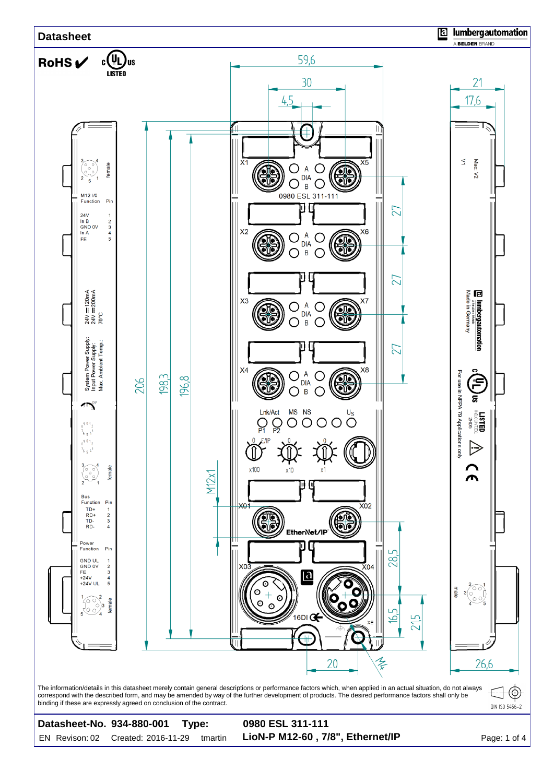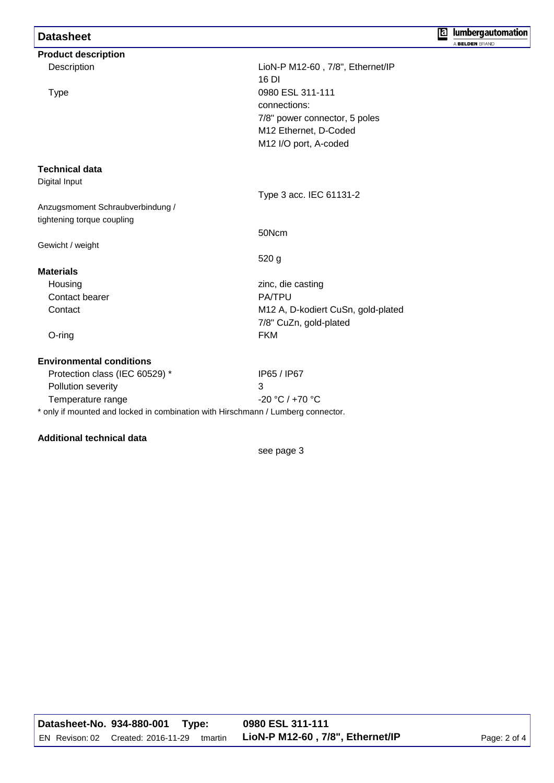## **Datasheet**

| <b>Product description</b>                                                       |                                    |  |  |  |
|----------------------------------------------------------------------------------|------------------------------------|--|--|--|
| Description                                                                      | LioN-P M12-60, 7/8", Ethernet/IP   |  |  |  |
|                                                                                  | 16 DI                              |  |  |  |
| <b>Type</b>                                                                      | 0980 ESL 311-111                   |  |  |  |
|                                                                                  | connections:                       |  |  |  |
|                                                                                  | 7/8" power connector, 5 poles      |  |  |  |
|                                                                                  | M12 Ethernet, D-Coded              |  |  |  |
|                                                                                  | M12 I/O port, A-coded              |  |  |  |
| <b>Technical data</b>                                                            |                                    |  |  |  |
| Digital Input                                                                    |                                    |  |  |  |
|                                                                                  | Type 3 acc. IEC 61131-2            |  |  |  |
| Anzugsmoment Schraubverbindung /                                                 |                                    |  |  |  |
| tightening torque coupling                                                       |                                    |  |  |  |
|                                                                                  | 50Ncm                              |  |  |  |
| Gewicht / weight                                                                 |                                    |  |  |  |
|                                                                                  | 520 <sub>g</sub>                   |  |  |  |
| <b>Materials</b>                                                                 |                                    |  |  |  |
| Housing                                                                          | zinc, die casting                  |  |  |  |
| Contact bearer                                                                   | <b>PA/TPU</b>                      |  |  |  |
| Contact                                                                          | M12 A, D-kodiert CuSn, gold-plated |  |  |  |
|                                                                                  | 7/8" CuZn, gold-plated             |  |  |  |
| O-ring                                                                           | <b>FKM</b>                         |  |  |  |
| <b>Environmental conditions</b>                                                  |                                    |  |  |  |
| Protection class (IEC 60529) *                                                   | IP65 / IP67                        |  |  |  |
| Pollution severity                                                               | 3                                  |  |  |  |
| Temperature range                                                                | $-20 °C / +70 °C$                  |  |  |  |
| * only if mounted and locked in combination with Hirschmann / Lumberg connector. |                                    |  |  |  |

## **Additional technical data**

see page 3

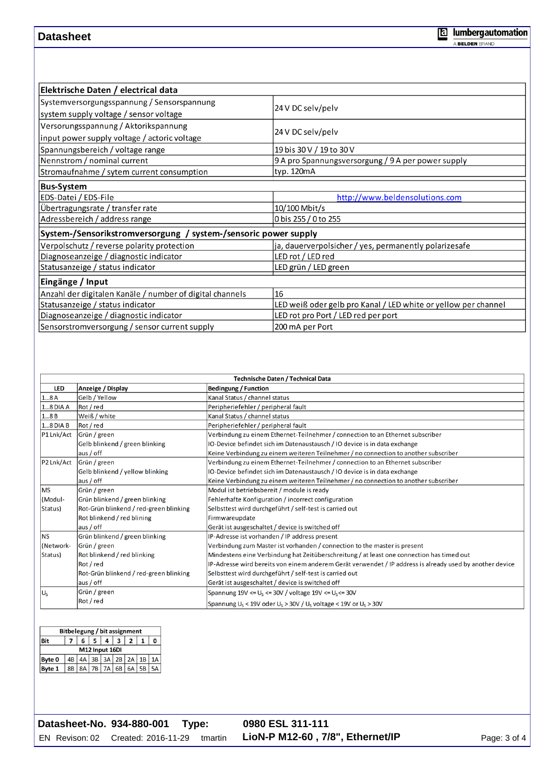## **Datasheet**

| Elektrische Daten / electrical data                             |                                                                |  |  |
|-----------------------------------------------------------------|----------------------------------------------------------------|--|--|
| Systemversorgungsspannung / Sensorspannung                      |                                                                |  |  |
| system supply voltage / sensor voltage                          | 24 V DC selv/pelv                                              |  |  |
| Versorungsspannung / Aktorikspannung                            |                                                                |  |  |
| input power supply voltage / actoric voltage                    | 24 V DC selv/pelv                                              |  |  |
| Spannungsbereich / voltage range                                | 19 bis 30 V / 19 to 30 V                                       |  |  |
| Nennstrom / nominal current                                     | 9 A pro Spannungsversorgung / 9 A per power supply             |  |  |
| Stromaufnahme / sytem current consumption                       | typ. 120mA                                                     |  |  |
| <b>Bus-System</b>                                               |                                                                |  |  |
| EDS-Datei / EDS-File                                            | http://www.beldensolutions.com                                 |  |  |
| Übertragungsrate / transfer rate                                | 10/100 Mbit/s                                                  |  |  |
| Adressbereich / address range                                   | 0 bis 255 / 0 to 255                                           |  |  |
| System-/Sensorikstromversorgung / system-/sensoric power supply |                                                                |  |  |
| Verpolschutz / reverse polarity protection                      | ja, dauerverpolsicher / yes, permanently polarizesafe          |  |  |
| Diagnoseanzeige / diagnostic indicator                          | LED rot / LED red                                              |  |  |
| Statusanzeige / status indicator                                | LED grün / LED green                                           |  |  |
| Eingänge / Input                                                |                                                                |  |  |
| Anzahl der digitalen Kanäle / number of digital channels        | 16                                                             |  |  |
| Statusanzeige / status indicator                                | LED weiß oder gelb pro Kanal / LED white or yellow per channel |  |  |
| Diagnoseanzeige / diagnostic indicator                          | LED rot pro Port / LED red per port                            |  |  |
| Sensorstromversorgung / sensor current supply                   | 200 mA per Port                                                |  |  |

| <b>Technische Daten / Technical Data</b> |                                        |                                                                                                                |  |  |  |
|------------------------------------------|----------------------------------------|----------------------------------------------------------------------------------------------------------------|--|--|--|
| <b>LED</b>                               | Anzeige / Display                      | <b>Bedingung / Function</b>                                                                                    |  |  |  |
| 18A                                      | Gelb / Yellow                          | Kanal Status / channel status                                                                                  |  |  |  |
| 18 DIA A                                 | Rot / red                              | Peripheriefehler / peripheral fault                                                                            |  |  |  |
| 18B                                      | Weiß / white                           | Kanal Status / channel status                                                                                  |  |  |  |
| 18 DIA B                                 | Rot / red                              | Peripheriefehler / peripheral fault                                                                            |  |  |  |
| P1 Lnk/Act                               | Grün / green                           | Verbindung zu einem Ethernet-Teilnehmer / connection to an Ethernet subscriber                                 |  |  |  |
|                                          | Gelb blinkend / green blinking         | IO-Device befindet sich im Datenaustausch / IO device is in data exchange                                      |  |  |  |
|                                          | aus / off                              | Keine Verbindung zu einem weiteren Teilnehmer / no connection to another subscriber                            |  |  |  |
| P2 Lnk/Act                               | Grün / green                           | Verbindung zu einem Ethernet-Teilnehmer / connection to an Ethernet subscriber                                 |  |  |  |
| Gelb blinkend / yellow blinking          |                                        | IO-Device befindet sich im Datenaustausch / IO device is in data exchange                                      |  |  |  |
|                                          | aus / off                              | Keine Verbindung zu einem weiteren Teilnehmer / no connection to another subscriber                            |  |  |  |
| <b>IMS</b>                               | Grün / green                           | Modul ist betriebsbereit / module is ready                                                                     |  |  |  |
| (Modul-                                  | Grün blinkend / green blinking         | Fehlerhafte Konfiguration / incorrect configuration                                                            |  |  |  |
| Status)                                  | Rot-Grün blinkend / red-green blinking | Selbsttest wird durchgeführt / self-test is carried out                                                        |  |  |  |
| Rot blinkend / red blining               |                                        | Firmwareupdate                                                                                                 |  |  |  |
| aus / off                                |                                        | Gerät ist ausgeschaltet / device is switched off                                                               |  |  |  |
| lns.                                     | Grün blinkend / green blinking         | IP-Adresse ist vorhanden / IP address present                                                                  |  |  |  |
| (Network-                                | Grün / green                           | Verbindung zum Master ist vorhanden / connection to the master is present                                      |  |  |  |
| Status)                                  | Rot blinkend / red blinking            | Mindestens eine Verbindung hat Zeitüberschreitung / at least one connection has timed out                      |  |  |  |
|                                          | Rot / red                              | IP-Adresse wird bereits von einem anderem Gerät verwendet / IP address is already used by another device       |  |  |  |
|                                          | Rot-Grün blinkend / red-green blinking | Selbsttest wird durchgeführt / self-test is carried out                                                        |  |  |  |
|                                          | aus / off                              | Gerät ist ausgeschaltet / device is switched off                                                               |  |  |  |
| IU.                                      | Grün / green                           | Spannung $19V \le U_s \le 30V$ / voltage $19V \le U_s \le 30V$                                                 |  |  |  |
|                                          | Rot / red                              | Spannung U <sub>S</sub> < 19V oder U <sub>S</sub> > 30V / U <sub>S</sub> voltage < 19V or U <sub>S</sub> > 30V |  |  |  |

| Bitbelegung / bit assignment |                |    |  |                     |   |    |    |  |
|------------------------------|----------------|----|--|---------------------|---|----|----|--|
| dit.                         |                | 6. |  | 4                   | 2 |    |    |  |
| M12 Input 16DI               |                |    |  |                     |   |    |    |  |
| Byte 0                       |                |    |  | $4A$ 3B 3A 2B 2A 1B |   |    |    |  |
| <b>Byte 1</b>                | 8 <sub>B</sub> |    |  | 7B 7A 6B            |   | 6A | 5B |  |

| Datasheet-No. 934-880-001 Type:            | 0980 ESL 311-111                 |              |
|--------------------------------------------|----------------------------------|--------------|
| EN Revison: 02 Created: 2016-11-29 tmartin | LioN-P M12-60, 7/8", Ethernet/IP | Page: 3 of 4 |

**E** lumbergautomation A BELDEN BRAND